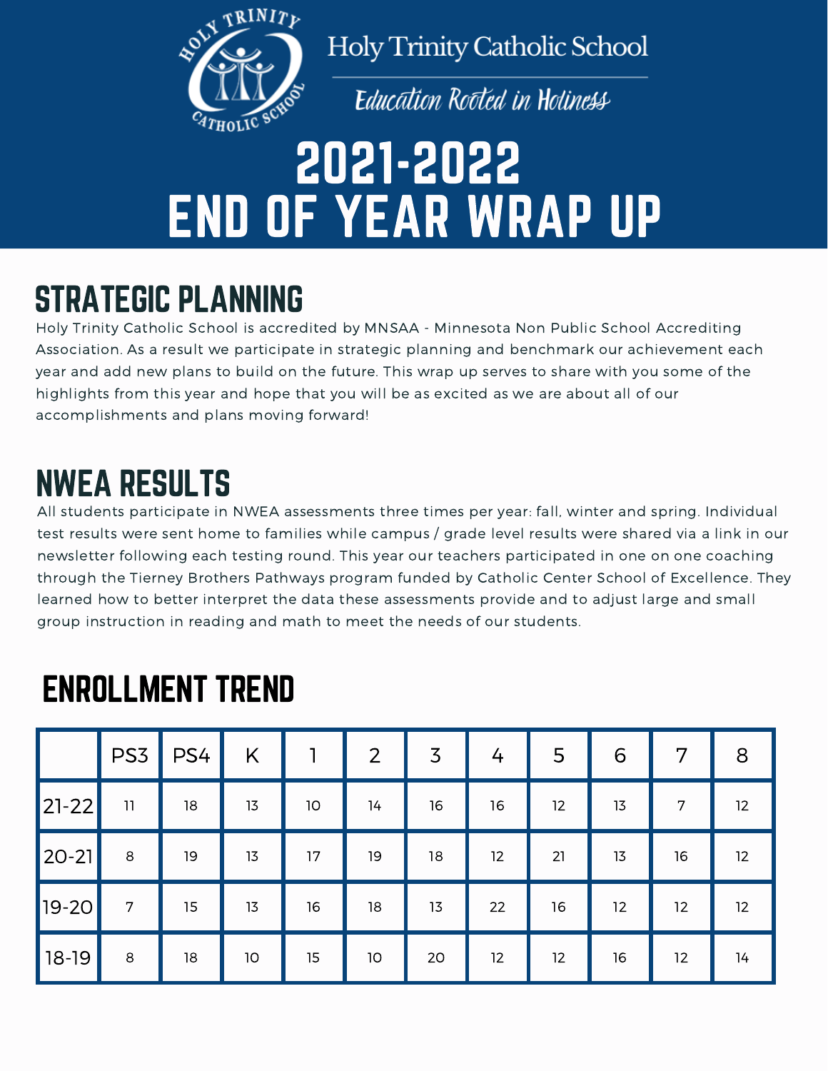

**Holy Trinity Catholic School** 

**Education Rooted in Holiness** 

# 2021-2022 END OF YEAR WRAP UP

## STRATEGIC PLANNING

Holy Trinity Catholic School is accredited by MNSAA - Minnesota Non Public School Accrediting Association. As a result we participate in strategic planning and benchmark our achievement each year and add new plans to build on the future. This wrap up serves to share with you some of the highlights from this year and hope that you will be as excited as we are about all of our accomplishments and plans moving forward!

## NWEA RESULTS

All students participate in NWEA assessments three times per year: fall, winter and spring. Individual test results were sent home to families while campus / grade level results were shared via a link in our newsletter following each testing round. This year our teachers participated in one on one coaching through the Tierney Brothers Pathways program funded by Catholic Center School of Excellence. They learned how to better interpret the data these assessments provide and to adjust large and small group instruction in reading and math to meet the needs of our students.

|             | PS <sub>3</sub>                                                                              | PS4 | K  | 1               | $\overline{2}$ | $\overline{3}$ | 4  | 5  | 6  | 7  | 8                 |
|-------------|----------------------------------------------------------------------------------------------|-----|----|-----------------|----------------|----------------|----|----|----|----|-------------------|
| $ 21 - 22 $ | $\begin{array}{c} \n \textcolor{red}{\textbf{1}} \textcolor{red}{\textbf{1}} \n \end{array}$ | 18  | 13 | 10 <sub>o</sub> | 14             | 16             | 16 | 12 | 13 | 7  | 12                |
| $ 20-21 $   | 8                                                                                            | 19  | 13 | 17              | 19             | 18             | 12 | 21 | 13 | 16 | $12 \overline{ }$ |
| $19 - 20$   | 7                                                                                            | 15  | 13 | 16              | 18             | 13             | 22 | 16 | 12 | 12 | 12                |
| $18-19$     | 8                                                                                            | 18  | 10 | 15              | $10$           | 20             | 12 | 12 | 16 | 12 | 14                |

### ENROLLMENT TREND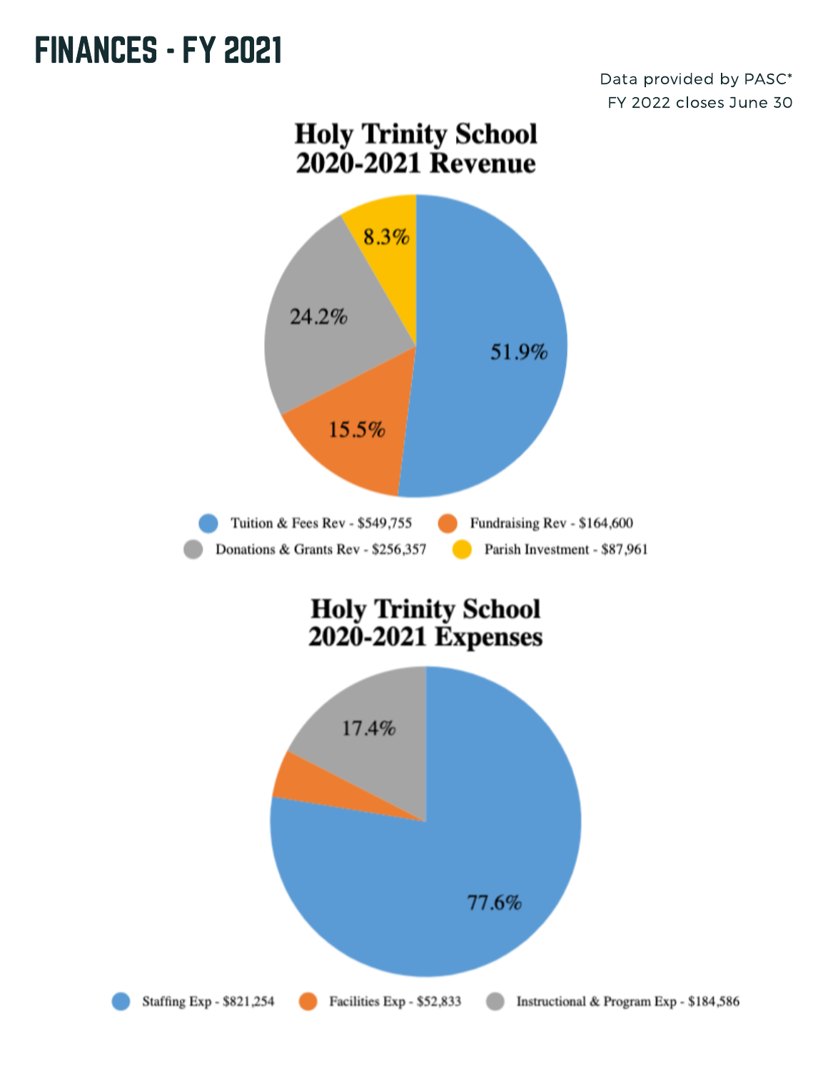#### **FINANCES - FY 2021**

Data provided by PASC\* FY 2022 closes June 30



Staffing Exp - \$821,254

Facilities Exp - \$52,833

Instructional & Program Exp - \$184,586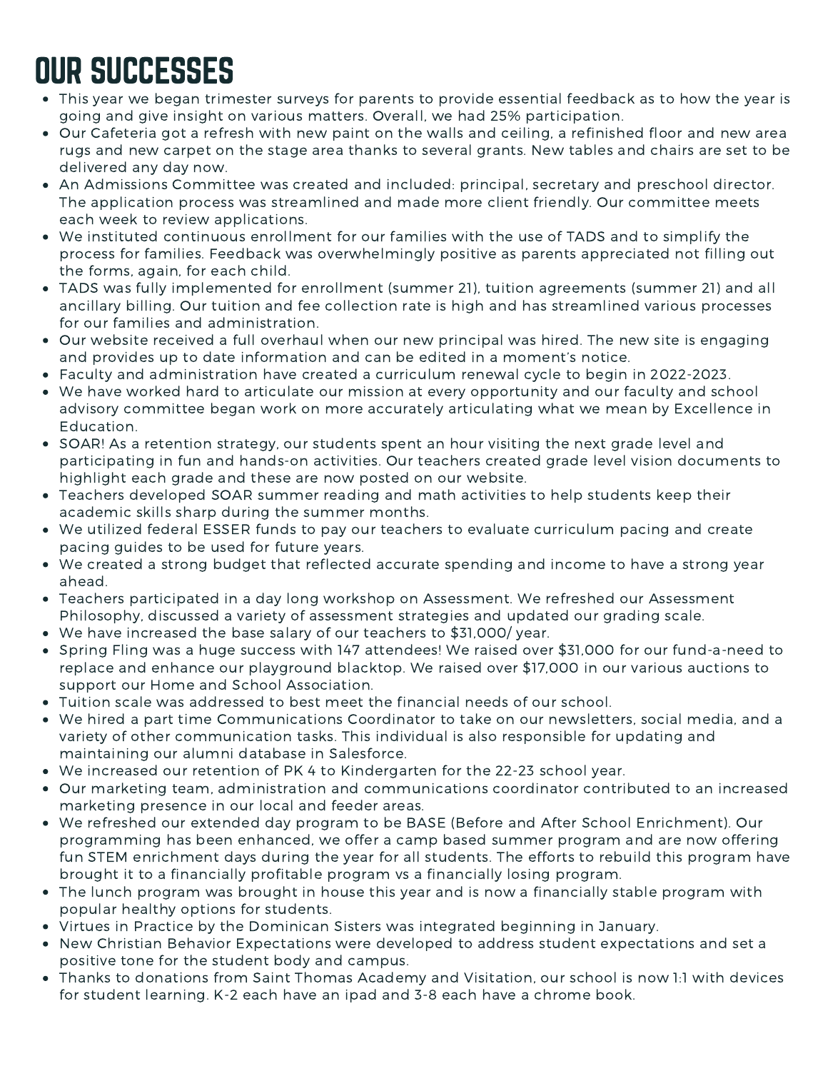# OUR SUCCESSES

- This year we began trimester surveys for parents to provide essential feedback as to how the year is going and give insight on various matters. Overall, we had 25% participation.
- Our Cafeteria got a refresh with new paint on the walls and ceiling, a refinished floor and new area rugs and new carpet on the stage area thanks to several grants. New tables and chairs are set to be delivered any day now.
- An Admissions Committee was created and included: principal, secretary and preschool director. The application process was streamlined and made more client friendly. Our committee meets each week to review applications.
- We instituted continuous enrollment for our families with the use of TADS and to simplify the process for families. Feedback was overwhelmingly positive as parents appreciated not filling out the forms, again, for each child.
- TADS was fully implemented for enrollment (summer 21), tuition agreements (summer 21) and all ancillary billing. Our tuition and fee collection rate is high and has streamlined various processes for our families and administration.
- Our website received a full overhaul when our new principal was hired. The new site is engaging and provides up to date information and can be edited in a moment's notice.
- Faculty and administration have created a curriculum renewal cycle to begin in 2022-2023.
- We have worked hard to articulate our mission at every opportunity and our faculty and school advisory committee began work on more accurately articulating what we mean by Excellence in Education.
- SOAR! As a retention strategy, our students spent an hour visiting the next grade level and participating in fun and hands-on activities. Our teachers created grade level vision documents to highlight each grade and these are now posted on our website.
- Teachers developed SOAR summer reading and math activities to help students keep their academic skills sharp during the summer months.
- We utilized federal ESSER funds to pay our teachers to evaluate curriculum pacing and create pacing guides to be used for future years.
- We created a strong budget that reflected accurate spending and income to have a strong year ahead.
- Teachers participated in a day long workshop on Assessment. We refreshed our Assessment Philosophy, discussed a variety of assessment strategies and updated our grading scale.
- We have increased the base salary of our teachers to \$31,000/ year.
- Spring Fling was a huge success with 147 attendees! We raised over \$31,000 for our fund-a-need to replace and enhance our playground blacktop. We raised over \$17,000 in our various auctions to support our Home and School Association.
- Tuition scale was addressed to best meet the financial needs of our school.
- We hired a part time Communications Coordinator to take on our newsletters, social media, and a variety of other communication tasks. This individual is also responsible for updating and maintaining our alumni database in Salesforce.
- We increased our retention of PK 4 to Kindergarten for the 22-23 school year.
- Our marketing team, administration and communications coordinator contributed to an increased marketing presence in our local and feeder areas.
- We refreshed our extended day program to be BASE (Before and After School Enrichment). Our programming has been enhanced, we offer a camp based summer program and are now offering fun STEM enrichment days during the year for all students. The efforts to rebuild this program have brought it to a financially profitable program vs a financially losing program.
- The lunch program was brought in house this year and is now a financially stable program with popular healthy options for students.
- Virtues in Practice by the Dominican Sisters was integrated beginning in January.
- New Christian Behavior Expectations were developed to address student expectations and set a positive tone for the student body and campus.
- Thanks to donations from Saint Thomas Academy and Visitation, our school is now 1:1 with devices for student learning. K-2 each have an ipad and 3-8 each have a chrome book.